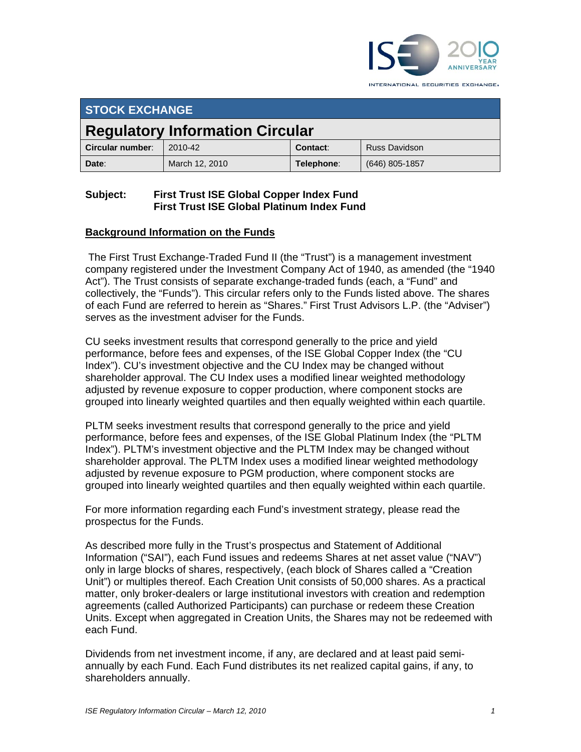

INTERNATIONAL SECURITIES EXCHANGE.

| <b>STOCK EXCHANGE</b>                  |                |            |                      |  |  |
|----------------------------------------|----------------|------------|----------------------|--|--|
| <b>Regulatory Information Circular</b> |                |            |                      |  |  |
| Circular number:                       | 2010-42        | Contact:   | <b>Russ Davidson</b> |  |  |
| Date:                                  | March 12, 2010 | Telephone: | (646) 805-1857       |  |  |

## **Subject: First Trust ISE Global Copper Index Fund First Trust ISE Global Platinum Index Fund**

## **Background Information on the Funds**

 The First Trust Exchange-Traded Fund II (the "Trust") is a management investment company registered under the Investment Company Act of 1940, as amended (the "1940 Act"). The Trust consists of separate exchange-traded funds (each, a "Fund" and collectively, the "Funds"). This circular refers only to the Funds listed above. The shares of each Fund are referred to herein as "Shares." First Trust Advisors L.P. (the "Adviser") serves as the investment adviser for the Funds.

CU seeks investment results that correspond generally to the price and yield performance, before fees and expenses, of the ISE Global Copper Index (the "CU Index"). CU's investment objective and the CU Index may be changed without shareholder approval. The CU Index uses a modified linear weighted methodology adjusted by revenue exposure to copper production, where component stocks are grouped into linearly weighted quartiles and then equally weighted within each quartile.

PLTM seeks investment results that correspond generally to the price and yield performance, before fees and expenses, of the ISE Global Platinum Index (the "PLTM Index"). PLTM's investment objective and the PLTM Index may be changed without shareholder approval. The PLTM Index uses a modified linear weighted methodology adjusted by revenue exposure to PGM production, where component stocks are grouped into linearly weighted quartiles and then equally weighted within each quartile.

For more information regarding each Fund's investment strategy, please read the prospectus for the Funds.

As described more fully in the Trust's prospectus and Statement of Additional Information ("SAI"), each Fund issues and redeems Shares at net asset value ("NAV") only in large blocks of shares, respectively, (each block of Shares called a "Creation Unit") or multiples thereof. Each Creation Unit consists of 50,000 shares. As a practical matter, only broker-dealers or large institutional investors with creation and redemption agreements (called Authorized Participants) can purchase or redeem these Creation Units. Except when aggregated in Creation Units, the Shares may not be redeemed with each Fund.

Dividends from net investment income, if any, are declared and at least paid semiannually by each Fund. Each Fund distributes its net realized capital gains, if any, to shareholders annually.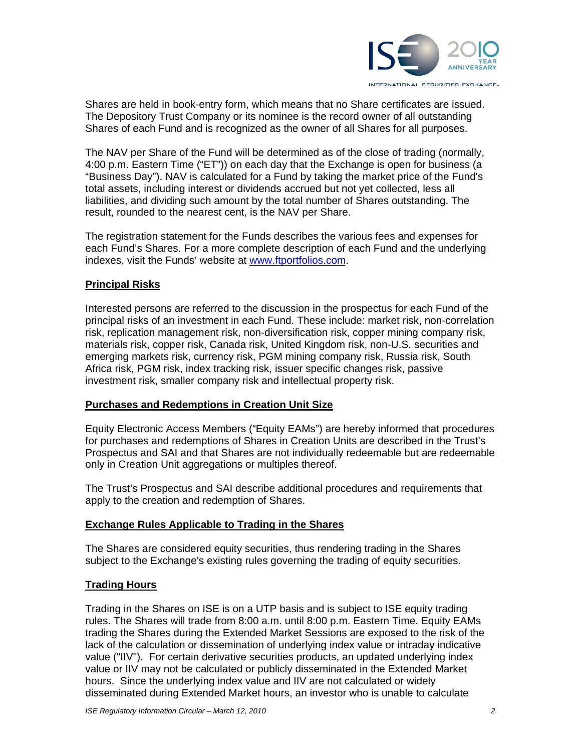

Shares are held in book-entry form, which means that no Share certificates are issued. The Depository Trust Company or its nominee is the record owner of all outstanding Shares of each Fund and is recognized as the owner of all Shares for all purposes.

The NAV per Share of the Fund will be determined as of the close of trading (normally, 4:00 p.m. Eastern Time ("ET")) on each day that the Exchange is open for business (a "Business Day"). NAV is calculated for a Fund by taking the market price of the Fund's total assets, including interest or dividends accrued but not yet collected, less all liabilities, and dividing such amount by the total number of Shares outstanding. The result, rounded to the nearest cent, is the NAV per Share.

The registration statement for the Funds describes the various fees and expenses for each Fund's Shares. For a more complete description of each Fund and the underlying indexes, visit the Funds' website at www.ftportfolios.com.

### **Principal Risks**

Interested persons are referred to the discussion in the prospectus for each Fund of the principal risks of an investment in each Fund. These include: market risk, non-correlation risk, replication management risk, non-diversification risk, copper mining company risk, materials risk, copper risk, Canada risk, United Kingdom risk, non-U.S. securities and emerging markets risk, currency risk, PGM mining company risk, Russia risk, South Africa risk, PGM risk, index tracking risk, issuer specific changes risk, passive investment risk, smaller company risk and intellectual property risk.

### **Purchases and Redemptions in Creation Unit Size**

Equity Electronic Access Members ("Equity EAMs") are hereby informed that procedures for purchases and redemptions of Shares in Creation Units are described in the Trust's Prospectus and SAI and that Shares are not individually redeemable but are redeemable only in Creation Unit aggregations or multiples thereof.

The Trust's Prospectus and SAI describe additional procedures and requirements that apply to the creation and redemption of Shares.

### **Exchange Rules Applicable to Trading in the Shares**

The Shares are considered equity securities, thus rendering trading in the Shares subject to the Exchange's existing rules governing the trading of equity securities.

## **Trading Hours**

Trading in the Shares on ISE is on a UTP basis and is subject to ISE equity trading rules. The Shares will trade from 8:00 a.m. until 8:00 p.m. Eastern Time. Equity EAMs trading the Shares during the Extended Market Sessions are exposed to the risk of the lack of the calculation or dissemination of underlying index value or intraday indicative value ("IIV"). For certain derivative securities products, an updated underlying index value or IIV may not be calculated or publicly disseminated in the Extended Market hours. Since the underlying index value and IIV are not calculated or widely disseminated during Extended Market hours, an investor who is unable to calculate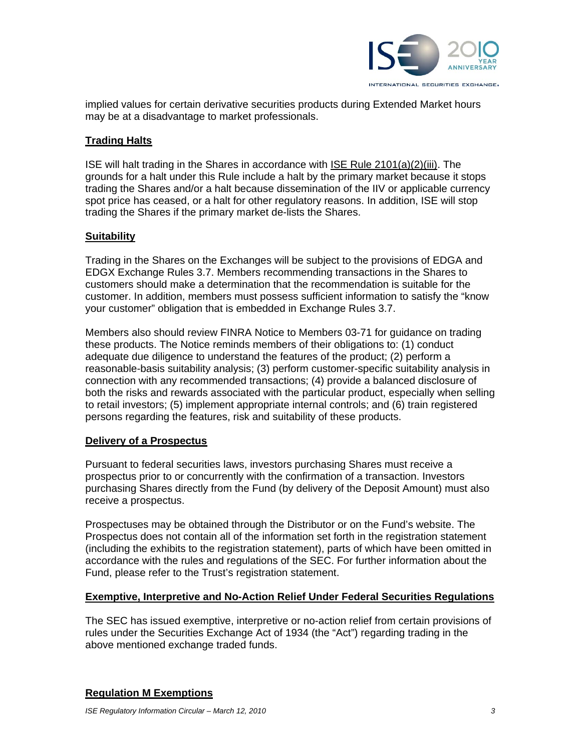

implied values for certain derivative securities products during Extended Market hours may be at a disadvantage to market professionals.

## **Trading Halts**

ISE will halt trading in the Shares in accordance with ISE Rule 2101(a)(2)(iii). The grounds for a halt under this Rule include a halt by the primary market because it stops trading the Shares and/or a halt because dissemination of the IIV or applicable currency spot price has ceased, or a halt for other regulatory reasons. In addition, ISE will stop trading the Shares if the primary market de-lists the Shares.

### **Suitability**

Trading in the Shares on the Exchanges will be subject to the provisions of EDGA and EDGX Exchange Rules 3.7. Members recommending transactions in the Shares to customers should make a determination that the recommendation is suitable for the customer. In addition, members must possess sufficient information to satisfy the "know your customer" obligation that is embedded in Exchange Rules 3.7.

Members also should review FINRA Notice to Members 03-71 for guidance on trading these products. The Notice reminds members of their obligations to: (1) conduct adequate due diligence to understand the features of the product; (2) perform a reasonable-basis suitability analysis; (3) perform customer-specific suitability analysis in connection with any recommended transactions; (4) provide a balanced disclosure of both the risks and rewards associated with the particular product, especially when selling to retail investors; (5) implement appropriate internal controls; and (6) train registered persons regarding the features, risk and suitability of these products.

### **Delivery of a Prospectus**

Pursuant to federal securities laws, investors purchasing Shares must receive a prospectus prior to or concurrently with the confirmation of a transaction. Investors purchasing Shares directly from the Fund (by delivery of the Deposit Amount) must also receive a prospectus.

Prospectuses may be obtained through the Distributor or on the Fund's website. The Prospectus does not contain all of the information set forth in the registration statement (including the exhibits to the registration statement), parts of which have been omitted in accordance with the rules and regulations of the SEC. For further information about the Fund, please refer to the Trust's registration statement.

#### **Exemptive, Interpretive and No-Action Relief Under Federal Securities Regulations**

The SEC has issued exemptive, interpretive or no-action relief from certain provisions of rules under the Securities Exchange Act of 1934 (the "Act") regarding trading in the above mentioned exchange traded funds.

## **Regulation M Exemptions**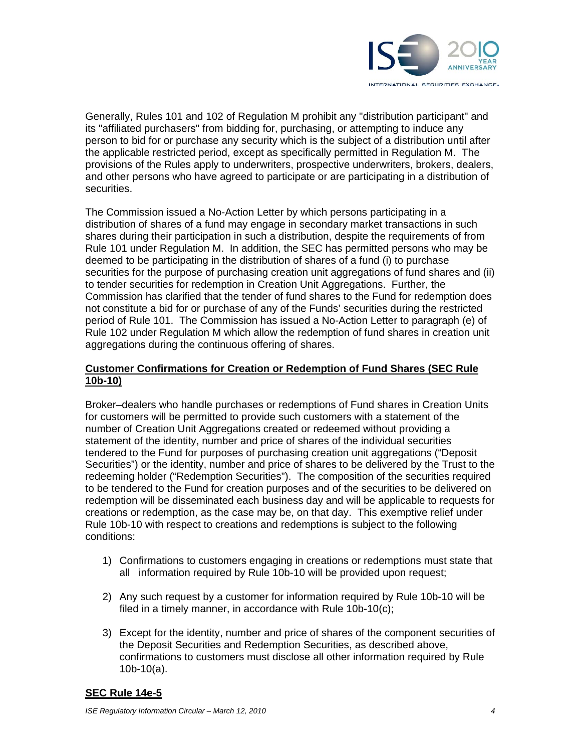

Generally, Rules 101 and 102 of Regulation M prohibit any "distribution participant" and its "affiliated purchasers" from bidding for, purchasing, or attempting to induce any person to bid for or purchase any security which is the subject of a distribution until after the applicable restricted period, except as specifically permitted in Regulation M. The provisions of the Rules apply to underwriters, prospective underwriters, brokers, dealers, and other persons who have agreed to participate or are participating in a distribution of securities.

The Commission issued a No-Action Letter by which persons participating in a distribution of shares of a fund may engage in secondary market transactions in such shares during their participation in such a distribution, despite the requirements of from Rule 101 under Regulation M. In addition, the SEC has permitted persons who may be deemed to be participating in the distribution of shares of a fund (i) to purchase securities for the purpose of purchasing creation unit aggregations of fund shares and (ii) to tender securities for redemption in Creation Unit Aggregations. Further, the Commission has clarified that the tender of fund shares to the Fund for redemption does not constitute a bid for or purchase of any of the Funds' securities during the restricted period of Rule 101. The Commission has issued a No-Action Letter to paragraph (e) of Rule 102 under Regulation M which allow the redemption of fund shares in creation unit aggregations during the continuous offering of shares.

### **Customer Confirmations for Creation or Redemption of Fund Shares (SEC Rule 10b-10)**

Broker–dealers who handle purchases or redemptions of Fund shares in Creation Units for customers will be permitted to provide such customers with a statement of the number of Creation Unit Aggregations created or redeemed without providing a statement of the identity, number and price of shares of the individual securities tendered to the Fund for purposes of purchasing creation unit aggregations ("Deposit Securities") or the identity, number and price of shares to be delivered by the Trust to the redeeming holder ("Redemption Securities"). The composition of the securities required to be tendered to the Fund for creation purposes and of the securities to be delivered on redemption will be disseminated each business day and will be applicable to requests for creations or redemption, as the case may be, on that day. This exemptive relief under Rule 10b-10 with respect to creations and redemptions is subject to the following conditions:

- 1) Confirmations to customers engaging in creations or redemptions must state that all information required by Rule 10b-10 will be provided upon request;
- 2) Any such request by a customer for information required by Rule 10b-10 will be filed in a timely manner, in accordance with Rule 10b-10(c);
- 3) Except for the identity, number and price of shares of the component securities of the Deposit Securities and Redemption Securities, as described above, confirmations to customers must disclose all other information required by Rule 10b-10(a).

## **SEC Rule 14e-5**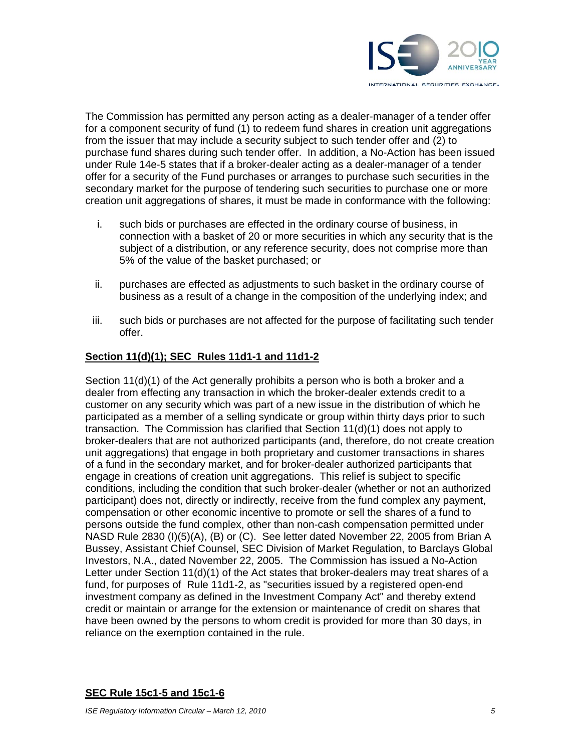

The Commission has permitted any person acting as a dealer-manager of a tender offer for a component security of fund (1) to redeem fund shares in creation unit aggregations from the issuer that may include a security subject to such tender offer and (2) to purchase fund shares during such tender offer. In addition, a No-Action has been issued under Rule 14e-5 states that if a broker-dealer acting as a dealer-manager of a tender offer for a security of the Fund purchases or arranges to purchase such securities in the secondary market for the purpose of tendering such securities to purchase one or more creation unit aggregations of shares, it must be made in conformance with the following:

- i. such bids or purchases are effected in the ordinary course of business, in connection with a basket of 20 or more securities in which any security that is the subject of a distribution, or any reference security, does not comprise more than 5% of the value of the basket purchased; or
- ii. purchases are effected as adjustments to such basket in the ordinary course of business as a result of a change in the composition of the underlying index; and
- iii. such bids or purchases are not affected for the purpose of facilitating such tender offer.

### **Section 11(d)(1); SEC Rules 11d1-1 and 11d1-2**

Section 11(d)(1) of the Act generally prohibits a person who is both a broker and a dealer from effecting any transaction in which the broker-dealer extends credit to a customer on any security which was part of a new issue in the distribution of which he participated as a member of a selling syndicate or group within thirty days prior to such transaction. The Commission has clarified that Section 11(d)(1) does not apply to broker-dealers that are not authorized participants (and, therefore, do not create creation unit aggregations) that engage in both proprietary and customer transactions in shares of a fund in the secondary market, and for broker-dealer authorized participants that engage in creations of creation unit aggregations. This relief is subject to specific conditions, including the condition that such broker-dealer (whether or not an authorized participant) does not, directly or indirectly, receive from the fund complex any payment, compensation or other economic incentive to promote or sell the shares of a fund to persons outside the fund complex, other than non-cash compensation permitted under NASD Rule 2830 (I)(5)(A), (B) or (C). See letter dated November 22, 2005 from Brian A Bussey, Assistant Chief Counsel, SEC Division of Market Regulation, to Barclays Global Investors, N.A., dated November 22, 2005. The Commission has issued a No-Action Letter under Section 11(d)(1) of the Act states that broker-dealers may treat shares of a fund, for purposes of Rule 11d1-2, as "securities issued by a registered open-end investment company as defined in the Investment Company Act" and thereby extend credit or maintain or arrange for the extension or maintenance of credit on shares that have been owned by the persons to whom credit is provided for more than 30 days, in reliance on the exemption contained in the rule.

## **SEC Rule 15c1-5 and 15c1-6**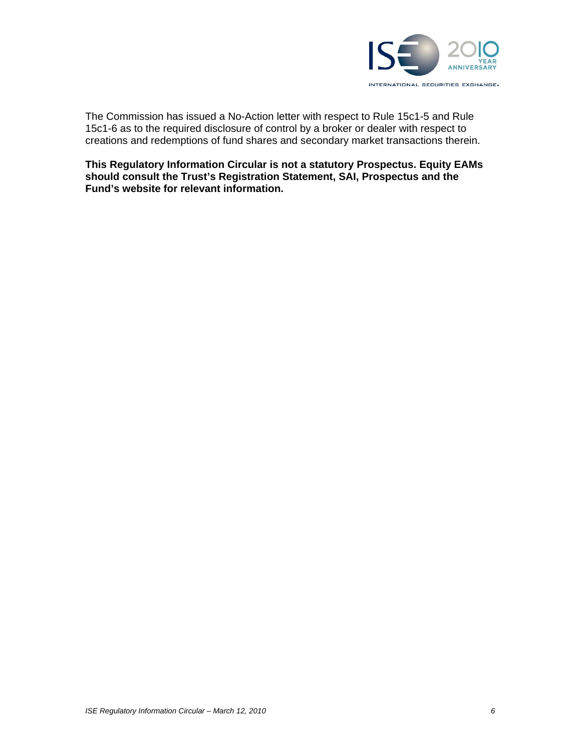

The Commission has issued a No-Action letter with respect to Rule 15c1-5 and Rule 15c1-6 as to the required disclosure of control by a broker or dealer with respect to creations and redemptions of fund shares and secondary market transactions therein.

**This Regulatory Information Circular is not a statutory Prospectus. Equity EAMs should consult the Trust's Registration Statement, SAI, Prospectus and the Fund's website for relevant information.**